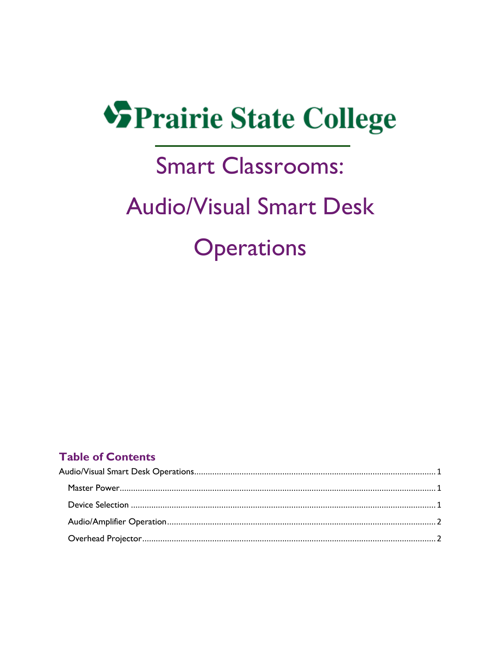# **SPrairie State College**

### **Smart Classrooms:**

## **Audio/Visual Smart Desk Operations**

#### **Table of Contents**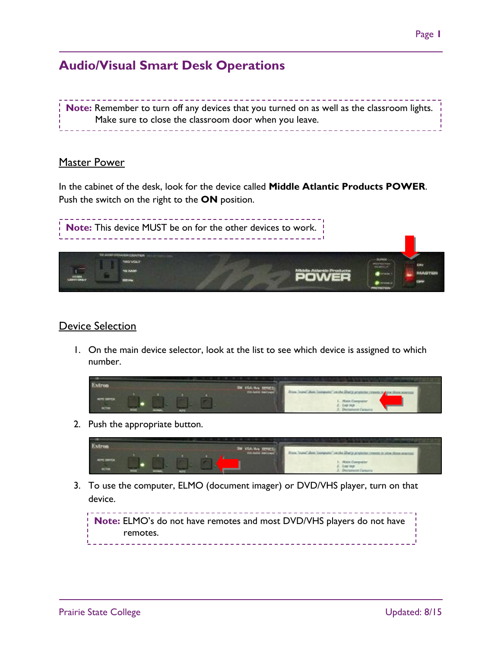### <span id="page-1-0"></span>**Audio/Visual Smart Desk Operations**

**Note:** Remember to turn off any devices that you turned on as well as the classroom lights. Make sure to close the classroom door when you leave.

#### <span id="page-1-1"></span>Master Power

In the cabinet of the desk, look for the device called **Middle Atlantic Products POWER**. Push the switch on the right to the **ON** position.



#### <span id="page-1-2"></span>Device Selection

1. On the main device selector, look at the list to see which device is assigned to which number.

|                                     |  |  | and the first property of the control of the control of the con- | <b>CARD CONTROL COMPANY</b>                                                                                                |
|-------------------------------------|--|--|------------------------------------------------------------------|----------------------------------------------------------------------------------------------------------------------------|
| <b>AUTO SWITCH</b><br><b>ACTIVE</b> |  |  | SHE VIDA APA SERVED                                              | From Some" than "computer" an the Sharp projector research is a few these searchy<br>. Noris Comm.<br>2. Decisioned Camera |

2. Push the appropriate button.



3. To use the computer, ELMO (document imager) or DVD/VHS player, turn on that device.

**Note:** ELMO's do not have remotes and most DVD/VHS players do not have remotes. \_\_\_\_\_\_\_\_\_\_\_\_\_\_\_\_\_\_\_\_\_\_\_\_\_\_\_\_\_\_\_\_\_ \_ \_ \_ \_ \_ \_ \_ \_ \_ \_ \_ \_ \_ \_